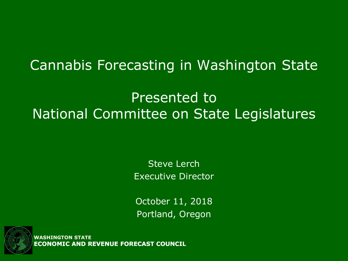#### Cannabis Forecasting in Washington State

#### Presented to National Committee on State Legislatures

Steve Lerch Executive Director

October 11, 2018 Portland, Oregon



**WASHINGTON ST ECONOMIC AND REVENUE FORECAST COUNCIL**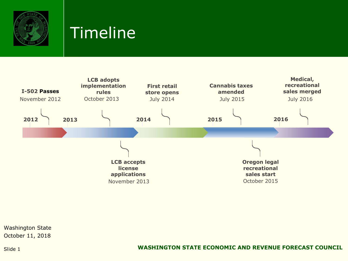

## Timeline

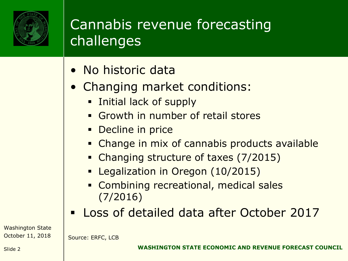

## Cannabis revenue forecasting challenges

- No historic data
- Changing market conditions:
	- **EXECUTE:** Initial lack of supply
	- **Example 1** Growth in number of retail stores
	- **•** Decline in price
	- **EXA** Change in mix of cannabis products available
	- Changing structure of taxes (7/2015)
	- **E** Legalization in Oregon (10/2015)
	- **EX Combining recreational, medical sales** (7/2016)
- Loss of detailed data after October 2017

Washington State October 11, 2018

Source: ERFC, LCB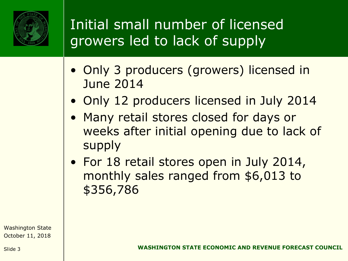

# Initial small number of licensed growers led to lack of supply

- Only 3 producers (growers) licensed in June 2014
- Only 12 producers licensed in July 2014
- Many retail stores closed for days or weeks after initial opening due to lack of supply
- For 18 retail stores open in July 2014, monthly sales ranged from \$6,013 to \$356,786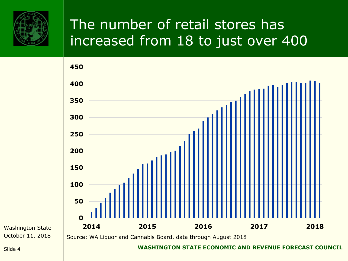

# The number of retail stores has increased from 18 to just over 400

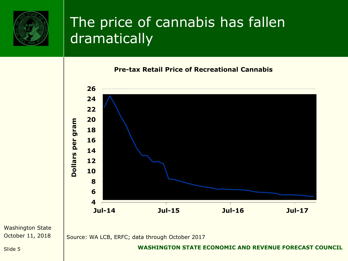

#### The price of cannabis has fallen dramatically

#### **Pre-tax Retail Price of Recreational Cannabis**



Washington State October 11, 2018

Source: WA LCB, ERFC; data through October 2017

Slide 5 **WASHINGTON STATE ECONOMIC AND REVENUE FORECAST COUNCIL**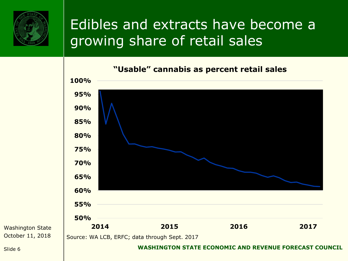

#### Edibles and extracts have become a growing share of retail sales



Washington State October 11, 2018

#### Slide 6 **WASHINGTON STATE ECONOMIC AND REVENUE FORECAST COUNCIL**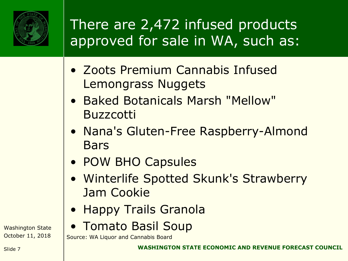

# There are 2,472 infused products approved for sale in WA, such as:

- Zoots Premium Cannabis Infused Lemongrass Nuggets
- Baked Botanicals Marsh "Mellow" Buzzcotti
- Nana's Gluten-Free Raspberry-Almond Bars
- POW BHO Capsules
- Winterlife Spotted Skunk's Strawberry Jam Cookie
- Happy Trails Granola
- Tomato Basil Soup

Source: WA Liquor and Cannabis Board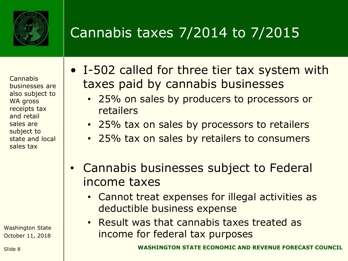

# Cannabis taxes 7/2014 to 7/2015

**Cannabis** businesses are also subject to WA gross receipts tax and retail sales are subject to state and local sales tax

- I-502 called for three tier tax system with taxes paid by cannabis businesses
	- 25% on sales by producers to processors or retailers
	- 25% tax on sales by processors to retailers
	- 25% tax on sales by retailers to consumers
- Cannabis businesses subject to Federal income taxes
	- Cannot treat expenses for illegal activities as deductible business expense
	- Result was that cannabis taxes treated as income for federal tax purposes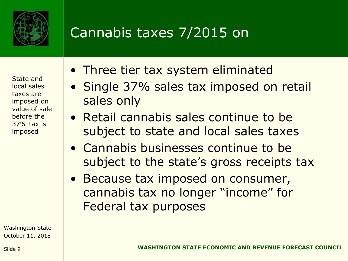

## Cannabis taxes 7/2015 on

State and local sales taxes are imposed on value of sale before the 37% tax is imposed

- Three tier tax system eliminated
- Single 37% sales tax imposed on retail sales only
- Retail cannabis sales continue to be subject to state and local sales taxes
- Cannabis businesses continue to be subject to the state's gross receipts tax
- Because tax imposed on consumer, cannabis tax no longer "income" for Federal tax purposes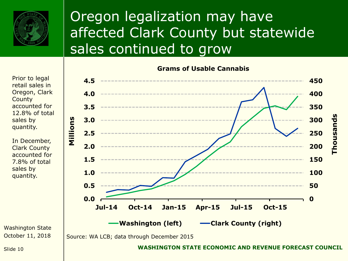

## Oregon legalization may have affected Clark County but statewide sales continued to grow

**Grams of Usable Cannabis**

**0 50 100 150 200 250 300 350 400 450 0.0 0.5 1.0 1.5 2.0 2.5 3.0 3.5 4.0 4.5 Jul-14 Oct-14 Jan-15 Apr-15 Jul-15 Oct-15 Millions Washington (left) Clark County (right)**

Source: WA LCB; data through December 2015

Prior to legal retail sales in Oregon, Clark **County** accounted for 12.8% of total sales by quantity.

In December, Clark County accounted for 7.8% of total sales by quantity.

Washington State October 11, 2018

Slide 10 **WASHINGTON STATE ECONOMIC AND REVENUE FORECAST COUNCIL**

**Thousands**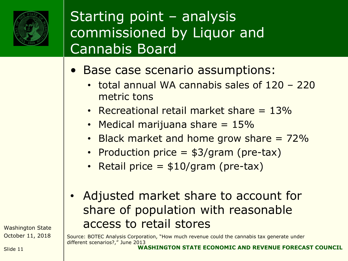

### Starting point – analysis commissioned by Liquor and Cannabis Board

- Base case scenario assumptions:
	- total annual WA cannabis sales of 120 220 metric tons
	- Recreational retail market share  $= 13\%$
	- Medical marijuana share  $= 15\%$
	- Black market and home grow share  $= 72\%$
	- Production price = \$3/gram (pre-tax)
	- Retail price  $=$  \$10/gram (pre-tax)
- Adjusted market share to account for share of population with reasonable access to retail stores

Source: BOTEC Analysis Corporation, "How much revenue could the cannabis tax generate under different scenarios?," June 2013

Slide 11 **WASHINGTON STATE ECONOMIC AND REVENUE FORECAST COUNCIL**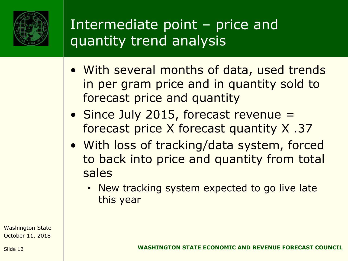

## Intermediate point – price and quantity trend analysis

- With several months of data, used trends in per gram price and in quantity sold to forecast price and quantity
- Since July 2015, forecast revenue = forecast price X forecast quantity X .37
- With loss of tracking/data system, forced to back into price and quantity from total sales
	- New tracking system expected to go live late this year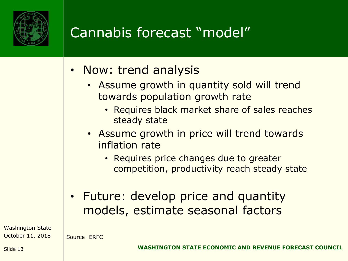

# Cannabis forecast "model"

- Now: trend analysis
	- Assume growth in quantity sold will trend towards population growth rate
		- Requires black market share of sales reaches steady state
	- Assume growth in price will trend towards inflation rate
		- Requires price changes due to greater competition, productivity reach steady state
- Future: develop price and quantity models, estimate seasonal factors

Washington State October 11, 2018

Source: ERFC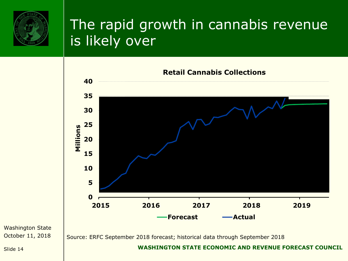

## The rapid growth in cannabis revenue is likely over



Washington State October 11, 2018

Slide 14 **WASHINGTON STATE ECONOMIC AND REVENUE FORECAST COUNCIL**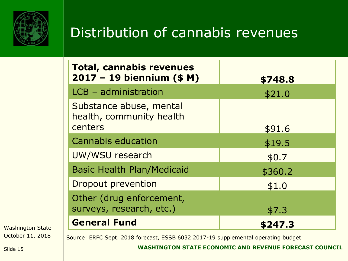

#### Distribution of cannabis revenues

| <b>Total, cannabis revenues</b><br>$2017 - 19$ biennium (\$ M) | \$748.8 |
|----------------------------------------------------------------|---------|
| LCB - administration                                           | \$21.0  |
| Substance abuse, mental<br>health, community health<br>centers | \$91.6  |
| <b>Cannabis education</b>                                      | \$19.5  |
| UW/WSU research                                                | \$0.7   |
| <b>Basic Health Plan/Medicaid</b>                              | \$360.2 |
| <b>Dropout prevention</b>                                      | \$1.0   |
| Other (drug enforcement,<br>surveys, research, etc.)           | \$7.3   |
| <b>General Fund</b>                                            | \$247.3 |

Washington State October 11, 2018

Source: ERFC Sept. 2018 forecast, ESSB 6032 2017-19 supplemental operating budget

#### Slide 15 **WASHINGTON STATE ECONOMIC AND REVENUE FORECAST COUNCIL**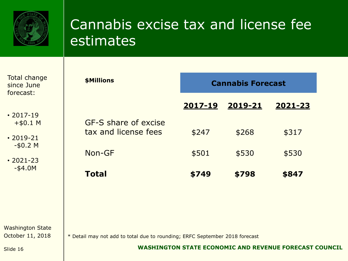

#### Cannabis excise tax and license fee estimates

| <b>Total change</b><br>since June<br>forecast:                                                  | \$Millions                                                                  | <b>Cannabis Forecast</b> |                  |                                                               |  |
|-------------------------------------------------------------------------------------------------|-----------------------------------------------------------------------------|--------------------------|------------------|---------------------------------------------------------------|--|
| $\cdot$ 2017-19<br>$+$ \$0.1 M<br>$\cdot$ 2019-21<br>$-50.2$ M<br>$\cdot$ 2021-23<br>$-$ \$4.0M | GF-S share of excise<br>tax and license fees                                | <u>2017-19</u><br>\$247  | 2019-21<br>\$268 | 2021-23<br>\$317                                              |  |
|                                                                                                 | Non-GF<br><b>Total</b>                                                      | \$501<br>\$749           | \$530<br>\$798   | \$530<br>\$847                                                |  |
| <b>Washington State</b><br>October 11, 2018<br>Slide 16                                         | * Detail may not add to total due to rounding; ERFC September 2018 forecast |                          |                  | <b>WASHINGTON STATE ECONOMIC AND REVENUE FORECAST COUNCIL</b> |  |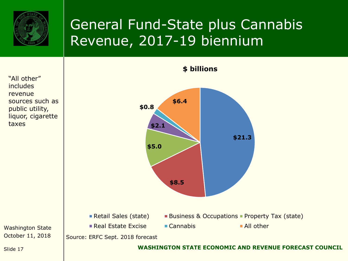

## General Fund-State plus Cannabis Revenue, 2017-19 biennium

Washington State October 11, 2018 Slide 17 **WASHINGTON STATE ECONOMIC AND REVENUE FORECAST COUNCIL \$21.3 \$8.5 \$5.0 \$2.1 \$0.8 \$6.4 \$ billions Retail Sales (state)** Business & Occupations Property Tax (state) Real Estate Excise  $\blacksquare$  Cannabis  $\blacksquare$  All other Source: ERFC Sept. 2018 forecast "All other" includes revenue sources such as public utility, liquor, cigarette taxes